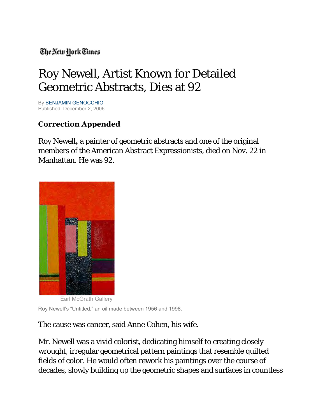## The New York Times

## Roy Newell, Artist Known for Detailed Geometric Abstracts, Dies at 92

B[y BENJAMIN GENOCCHIO](http://query.nytimes.com/search/query?ppds=bylL&v1=BENJAMIN%20GENOCCHIO&fdq=19960101&td=sysdate&sort=newest&ac=BENJAMIN%20GENOCCHIO&inline=nyt-per) Published: December 2, 2006

## **Correction Appended**

Roy Newell**,** a painter of geometric abstracts and one of the original members of the American Abstract Expressionists, died on Nov. 22 in Manhattan. He was 92.



Earl McGrath Gallery

Roy Newell's "Untitled," an oil made between 1956 and 1998.

The cause was cancer, said Anne Cohen, his wife.

Mr. Newell was a vivid colorist, dedicating himself to creating closely wrought, irregular geometrical pattern paintings that resemble quilted fields of color. He would often rework his paintings over the course of decades, slowly building up the geometric shapes and surfaces in countless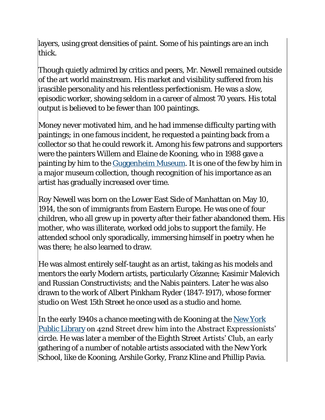layers, using great densities of paint. Some of his paintings are an inch thick.

Though quietly admired by critics and peers, Mr. Newell remained outside of the art world mainstream. His market and visibility suffered from his irascible personality and his relentless perfectionism. He was a slow, episodic worker, showing seldom in a career of almost 70 years. His total output is believed to be fewer than 100 paintings.

Money never motivated him, and he had immense difficulty parting with paintings; in one famous incident, he requested a painting back from a collector so that he could rework it. Among his few patrons and supporters were the painters Willem and Elaine de Kooning, who in 1988 gave a painting by him to the [Guggenheim Museum.](http://topics.nytimes.com/top/reference/timestopics/organizations/g/guggenheim_solomon_r_museum/index.html?inline=nyt-org) It is one of the few by him in a major museum collection, though recognition of his importance as an artist has gradually increased over time.

Roy Newell was born on the Lower East Side of Manhattan on May 10, 1914, the son of immigrants from Eastern Europe. He was one of four children, who all grew up in poverty after their father abandoned them. His mother, who was illiterate, worked odd jobs to support the family. He attended school only sporadically, immersing himself in poetry when he was there; he also learned to draw.

He was almost entirely self-taught as an artist, taking as his models and mentors the early Modern artists, particularly Cézanne; Kasimir Malevich and Russian Constructivists; and the Nabis painters. Later he was also drawn to the work of Albert Pinkham Ryder (1847-1917), whose former studio on West 15th Street he once used as a studio and home.

In the early 1940s a chance meeting with de Kooning at the [New York](http://topics.nytimes.com/top/reference/timestopics/organizations/n/new_york_public_library/index.html?inline=nyt-org)  [Public Library](http://topics.nytimes.com/top/reference/timestopics/organizations/n/new_york_public_library/index.html?inline=nyt-org) on 42nd Street drew him into the Abstract Expressionists'  $|$ circle. He was later a member of the Eighth Stree**t Artists' Club, an early** gathering of a number of notable artists associated with the New York School, like de Kooning, Arshile Gorky, Franz Kline and Phillip Pavia.